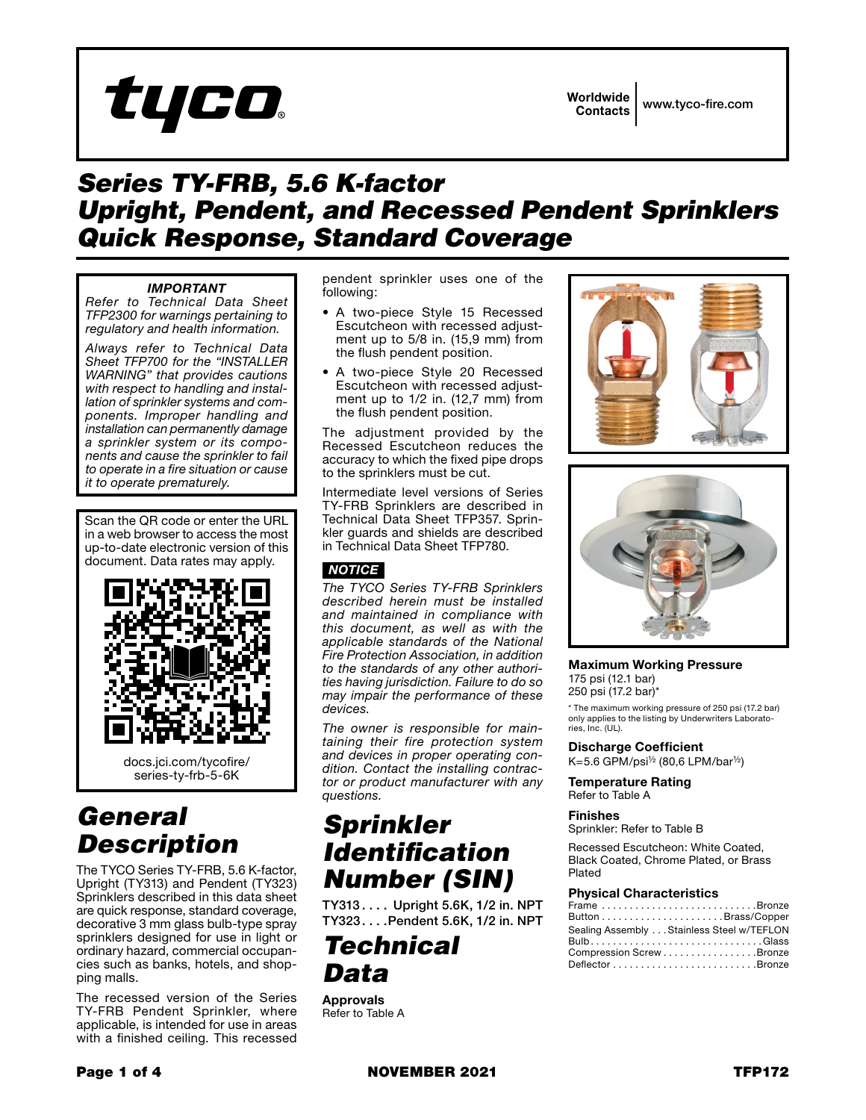

Worldwide Contacts www.tyco-fire.com

### *Series TY-FRB, 5.6 K-factor Upright, Pendent, and Recessed Pendent Sprinklers Quick Response, Standard Coverage*

#### *IMPORTANT*

*Refer to Technical Data Sheet TFP2300 for warnings pertaining to regulatory and health information.*

*Always refer to Technical Data Sheet TFP700 for the "INSTALLER WARNING" that provides cautions with respect to handling and installation of sprinkler systems and components. Improper handling and installation can permanently damage a sprinkler system or its components and cause the sprinkler to fail to operate in a fire situation or cause it to operate prematurely.*

Scan the QR code or enter the URL in a web browser to access the most up-to-date electronic version of this document. Data rates may apply.



### *General Description*

The TYCO Series TY-FRB, 5.6 K-factor, Upright (TY313) and Pendent (TY323) Sprinklers described in this data sheet are quick response, standard coverage, decorative 3 mm glass bulb-type spray sprinklers designed for use in light or ordinary hazard, commercial occupancies such as banks, hotels, and shopping malls.

The recessed version of the Series TY-FRB Pendent Sprinkler, where applicable, is intended for use in areas with a finished ceiling. This recessed

pendent sprinkler uses one of the following:

- A two-piece Style 15 Recessed Escutcheon with recessed adjustment up to 5/8 in. (15,9 mm) from the flush pendent position.
- A two-piece Style 20 Recessed Escutcheon with recessed adjustment up to 1/2 in. (12,7 mm) from the flush pendent position.

The adjustment provided by the Recessed Escutcheon reduces the accuracy to which the fixed pipe drops to the sprinklers must be cut.

Intermediate level versions of Series TY-FRB Sprinklers are described in Technical Data Sheet TFP357. Sprinkler guards and shields are described in Technical Data Sheet TFP780.

#### *NOTICE*

*The TYCO Series TY-FRB Sprinklers described herein must be installed and maintained in compliance with this document, as well as with the applicable standards of the National Fire Protection Association, in addition to the standards of any other authorities having jurisdiction. Failure to do so may impair the performance of these devices.*

*The owner is responsible for maintaining their fire protection system and devices in proper operating condition. Contact the installing contractor or product manufacturer with any questions.*

### *Sprinkler Identification Number (SIN)*

TY313.... Upright 5.6K, 1/2 in. NPT TY323....Pendent 5.6K, 1/2 in. NPT

### *Technical Data*

Approvals Refer to Table A





Maximum Working Pressure 175 psi (12.1 bar) 250 psi (17.2 bar)\*

\* The maximum working pressure of 250 psi (17.2 bar) only applies to the listing by Underwriters Laboratories, Inc. (UL).

Discharge Coefficient  $K=5.6$  GPM/psi<sup>1/2</sup> (80,6 LPM/bar<sup>1/2</sup>)

Temperature Rating Refer to Table A

#### Finishes

Sprinkler: Refer to Table B

Recessed Escutcheon: White Coated, Black Coated, Chrome Plated, or Brass Plated

#### Physical Characteristics

| Frame Bronze                              |
|-------------------------------------------|
|                                           |
| Sealing Assembly Stainless Steel w/TEFLON |
|                                           |
| Compression Screw Bronze                  |
|                                           |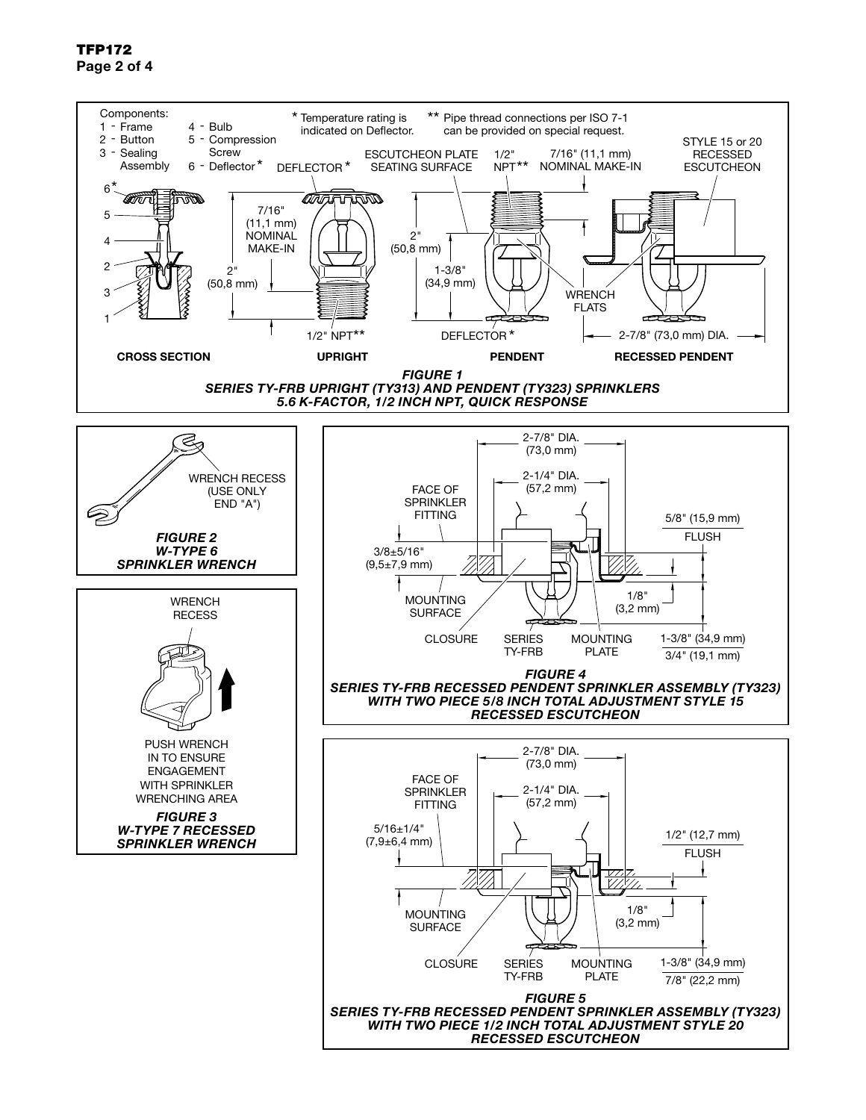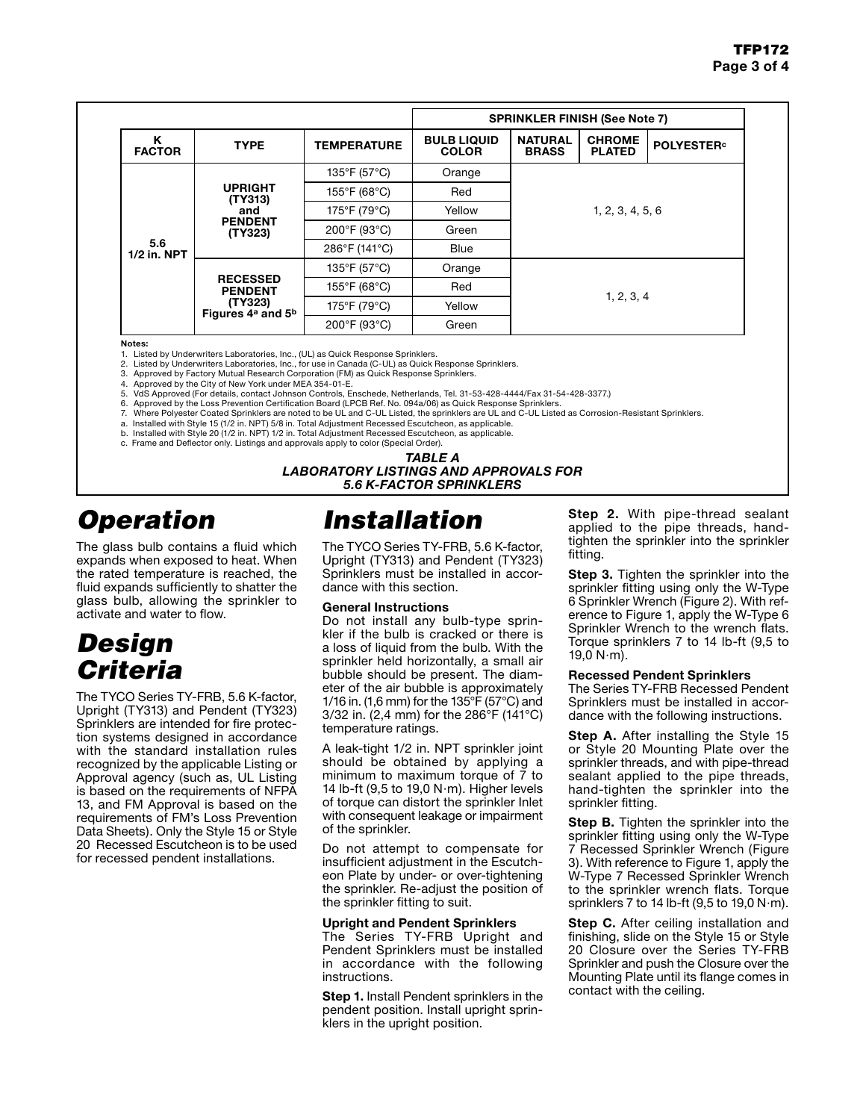|                      |                                                                                           | <b>SPRINKLER FINISH (See Note 7)</b> |                                    |                                |                                |                               |  |
|----------------------|-------------------------------------------------------------------------------------------|--------------------------------------|------------------------------------|--------------------------------|--------------------------------|-------------------------------|--|
| κ<br><b>FACTOR</b>   | <b>TYPE</b>                                                                               | <b>TEMPERATURE</b>                   | <b>BULB LIQUID</b><br><b>COLOR</b> | <b>NATURAL</b><br><b>BRASS</b> | <b>CHROME</b><br><b>PLATED</b> | <b>POLYESTER</b> <sup>c</sup> |  |
| 5.6<br>$1/2$ in. NPT | <b>UPRIGHT</b><br>(TY313)<br>and<br><b>PENDENT</b><br>(TY323)                             | 135°F (57°C)                         | Orange                             | 1, 2, 3, 4, 5, 6               |                                |                               |  |
|                      |                                                                                           | 155°F (68°C)                         | Red                                |                                |                                |                               |  |
|                      |                                                                                           | 175°F (79°C)                         | Yellow                             |                                |                                |                               |  |
|                      |                                                                                           | 200°F (93°C)                         | Green                              |                                |                                |                               |  |
|                      |                                                                                           | 286°F (141°C)                        | <b>Blue</b>                        |                                |                                |                               |  |
|                      | <b>RECESSED</b><br><b>PENDENT</b><br>(TY323)<br>Figures 4 <sup>a</sup> and 5 <sup>b</sup> | 135°F (57°C)                         | Orange                             |                                |                                |                               |  |
|                      |                                                                                           | 155°F (68°C)                         | Red                                | 1, 2, 3, 4                     |                                |                               |  |
|                      |                                                                                           | 175°F (79°C)                         | Yellow                             |                                |                                |                               |  |
|                      |                                                                                           | 200°F (93°C)                         | Green                              |                                |                                |                               |  |

Notes:

1. Listed by Underwriters Laboratories, Inc., (UL) as Quick Response Sprinklers.<br>2. Listed by Underwriters Laboratories. Inc., for use in Canada (C-UL) as Quick I

2. Listed by Underwriters Laboratories, Inc., for use in Canada (C-UL) as Quick Response Sprinklers. 3. Approved by Factory Mutual Research Corporation (FM) as Quick Response Sprinklers.

4. Approved by the City of New York under MEA 354-01-E.

5. VdS Approved (For details, contact Johnson Controls, Enschede, Netherlands, Tel. 31-53-428-4444/Fax 31-54-428-3377.)

- 6. Approved by the Loss Prevention Certification Board (LPCB Ref. No. 094a/06) as Quick Response Sprinklers.
- 7. Where Polyester Coated Sprinklers are noted to be UL and C-UL Listed, the sprinklers are UL and C-UL Listed as Corrosion-Resistant Sprinklers.
- a. Installed with Style 15 (1/2 in. NPT) 5/8 in. Total Adjustment Recessed Escutcheon, as applicable. b. Installed with Style 20 (1/2 in. NPT) 1/2 in. Total Adjustment Recessed Escutcheon, as applicable.
- c. Frame and Deflector only. Listings and approvals apply to color (Special Order).

*TABLE A*

# *Operation*

The glass bulb contains a fluid which expands when exposed to heat. When the rated temperature is reached, the fluid expands sufficiently to shatter the glass bulb, allowing the sprinkler to activate and water to flow.

# *Design Criteria*

The TYCO Series TY-FRB, 5.6 K-factor, Upright (TY313) and Pendent (TY323) Sprinklers are intended for fire protection systems designed in accordance with the standard installation rules recognized by the applicable Listing or Approval agency (such as, UL Listing is based on the requirements of NFPA 13, and FM Approval is based on the requirements of FM's Loss Prevention Data Sheets). Only the Style 15 or Style 20 Recessed Escutcheon is to be used for recessed pendent installations.

# *Installation*

The TYCO Series TY-FRB, 5.6 K-factor, Upright (TY313) and Pendent (TY323) Sprinklers must be installed in accordance with this section.

*LABORATORY LISTINGS AND APPROVALS FOR 5.6 K-FACTOR SPRINKLERS*

#### General Instructions

Do not install any bulb-type sprinkler if the bulb is cracked or there is a loss of liquid from the bulb. With the sprinkler held horizontally, a small air bubble should be present. The diameter of the air bubble is approximately 1/16 in. (1,6 mm) for the 135°F (57°C) and 3/32 in. (2,4 mm) for the 286°F (141°C) temperature ratings.

A leak-tight 1/2 in. NPT sprinkler joint should be obtained by applying a minimum to maximum torque of 7 to 14 lb-ft (9,5 to 19,0 N·m). Higher levels of torque can distort the sprinkler Inlet with consequent leakage or impairment of the sprinkler.

Do not attempt to compensate for insufficient adjustment in the Escutcheon Plate by under- or over-tightening the sprinkler. Re-adjust the position of the sprinkler fitting to suit.

#### Upright and Pendent Sprinklers

The Series TY-FRB Upright and Pendent Sprinklers must be installed in accordance with the following instructions.

**Step 1.** Install Pendent sprinklers in the pendent position. Install upright sprinklers in the upright position.

**Step 2.** With pipe-thread sealant applied to the pipe threads, handtighten the sprinkler into the sprinkler fitting.

**Step 3.** Tighten the sprinkler into the sprinkler fitting using only the W-Type 6 Sprinkler Wrench (Figure 2). With reference to Figure 1, apply the W-Type 6 Sprinkler Wrench to the wrench flats. Torque sprinklers 7 to 14 lb-ft (9,5 to 19,0  $N \cdot m$ ).

#### Recessed Pendent Sprinklers

The Series TY-FRB Recessed Pendent Sprinklers must be installed in accordance with the following instructions.

**Step A.** After installing the Style 15 or Style 20 Mounting Plate over the sprinkler threads, and with pipe-thread sealant applied to the pipe threads, hand-tighten the sprinkler into the sprinkler fitting.

**Step B.** Tighten the sprinkler into the sprinkler fitting using only the W-Type 7 Recessed Sprinkler Wrench (Figure 3). With reference to Figure 1, apply the W-Type 7 Recessed Sprinkler Wrench to the sprinkler wrench flats. Torque sprinklers 7 to 14 lb-ft  $(9,5$  to 19,0 N $\cdot$ m).

**Step C.** After ceiling installation and finishing, slide on the Style 15 or Style 20 Closure over the Series TY-FRB Sprinkler and push the Closure over the Mounting Plate until its flange comes in contact with the ceiling.